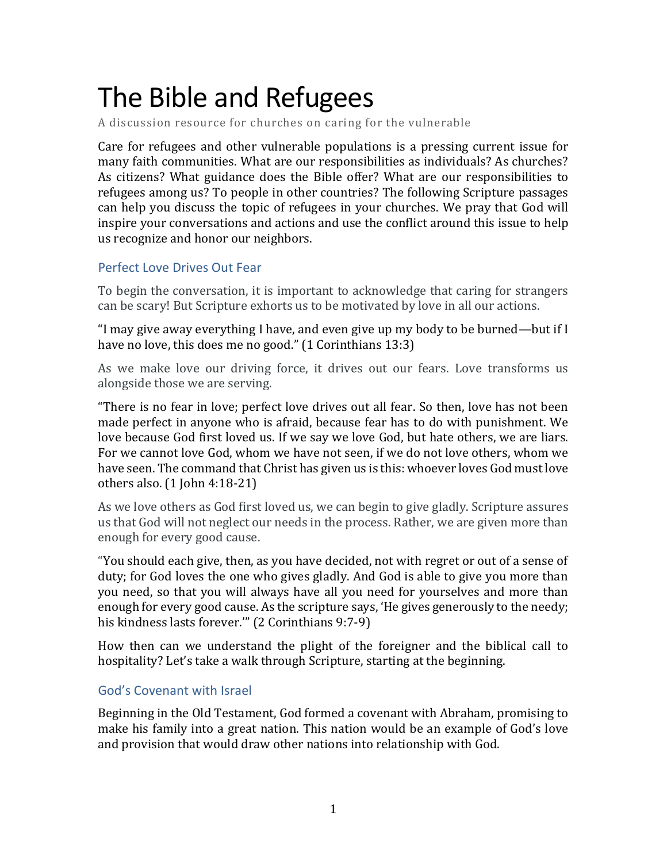# The Bible and Refugees

A discussion resource for churches on caring for the vulnerable

Care for refugees and other vulnerable populations is a pressing current issue for many faith communities. What are our responsibilities as individuals? As churches? As citizens? What guidance does the Bible offer? What are our responsibilities to refugees among us? To people in other countries? The following Scripture passages can help you discuss the topic of refugees in your churches. We pray that God will inspire your conversations and actions and use the conflict around this issue to help us recognize and honor our neighbors.

#### Perfect Love Drives Out Fear

To begin the conversation, it is important to acknowledge that caring for strangers can be scary! But Scripture exhorts us to be motivated by love in all our actions.

"I may give away everything I have, and even give up my body to be burned—but if I have no love, this does me no good." (1 Corinthians 13:3)

As we make love our driving force, it drives out our fears. Love transforms us alongside those we are serving.

"There is no fear in love; perfect love drives out all fear. So then, love has not been made perfect in anyone who is afraid, because fear has to do with punishment. We love because God first loved us. If we say we love God, but hate others, we are liars. For we cannot love God, whom we have not seen, if we do not love others, whom we have seen. The command that Christ has given us is this: whoever loves God must love others also. (1 John 4:18-21)

As we love others as God first loved us, we can begin to give gladly. Scripture assures us that God will not neglect our needs in the process. Rather, we are given more than enough for every good cause.

"You should each give, then, as you have decided, not with regret or out of a sense of duty; for God loves the one who gives gladly. And God is able to give you more than you need, so that you will always have all you need for yourselves and more than enough for every good cause. As the scripture says, 'He gives generously to the needy; his kindness lasts forever.'" (2 Corinthians 9:7-9)

How then can we understand the plight of the foreigner and the biblical call to hospitality? Let's take a walk through Scripture, starting at the beginning.

#### God's Covenant with Israel

Beginning in the Old Testament, God formed a covenant with Abraham, promising to make his family into a great nation. This nation would be an example of God's love and provision that would draw other nations into relationship with God.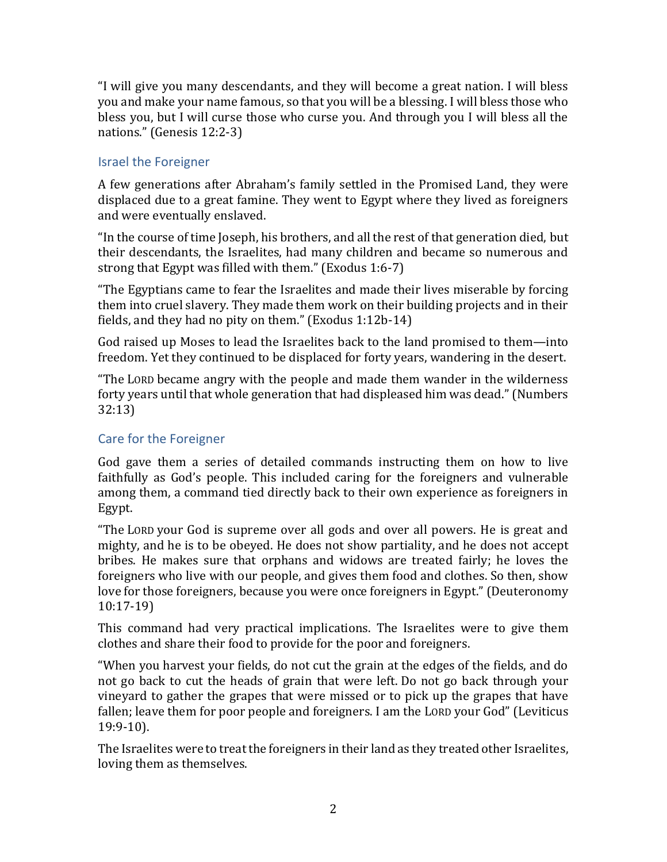"I will give you many descendants, and they will become a great nation. I will bless you and make your name famous, so that you will be a blessing. I will bless those who bless you, but I will curse those who curse you. And through you I will bless all the nations." (Genesis 12:2-3)

#### Israel the Foreigner

A few generations after Abraham's family settled in the Promised Land, they were displaced due to a great famine. They went to Egypt where they lived as foreigners and were eventually enslaved.

"In the course of time Joseph, his brothers, and all the rest of that generation died, but their descendants, the Israelites, had many children and became so numerous and strong that Egypt was filled with them." (Exodus 1:6-7)

"The Egyptians came to fear the Israelites and made their lives miserable by forcing them into cruel slavery. They made them work on their building projects and in their fields, and they had no pity on them." (Exodus 1:12b-14)

God raised up Moses to lead the Israelites back to the land promised to them—into freedom. Yet they continued to be displaced for forty years, wandering in the desert.

"The LORD became angry with the people and made them wander in the wilderness forty years until that whole generation that had displeased him was dead." (Numbers 32:13)

## Care for the Foreigner

God gave them a series of detailed commands instructing them on how to live faithfully as God's people. This included caring for the foreigners and vulnerable among them, a command tied directly back to their own experience as foreigners in Egypt.

"The LORD your God is supreme over all gods and over all powers. He is great and mighty, and he is to be obeyed. He does not show partiality, and he does not accept bribes. He makes sure that orphans and widows are treated fairly; he loves the foreigners who live with our people, and gives them food and clothes. So then, show love for those foreigners, because you were once foreigners in Egypt." (Deuteronomy 10:17-19)

This command had very practical implications. The Israelites were to give them clothes and share their food to provide for the poor and foreigners.

"When you harvest your fields, do not cut the grain at the edges of the fields, and do not go back to cut the heads of grain that were left. Do not go back through your vineyard to gather the grapes that were missed or to pick up the grapes that have fallen; leave them for poor people and foreigners. I am the LORD your God" (Leviticus 19:9-10).

The Israelites were to treat the foreigners in their land as they treated other Israelites, loving them as themselves.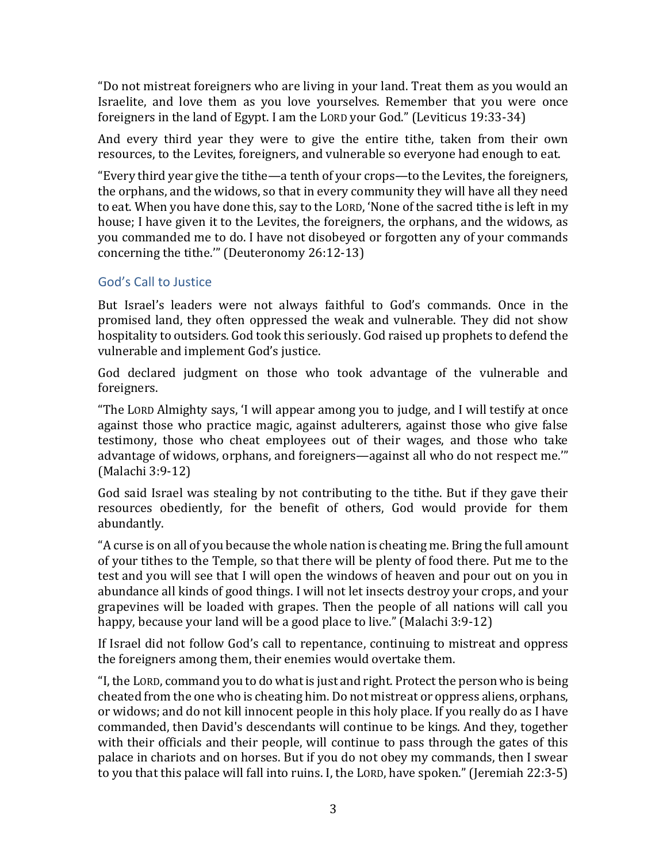"Do not mistreat foreigners who are living in your land. Treat them as you would an Israelite, and love them as you love yourselves. Remember that you were once foreigners in the land of Egypt. I am the LORD your God." (Leviticus 19:33-34)

And every third year they were to give the entire tithe, taken from their own resources, to the Levites, foreigners, and vulnerable so everyone had enough to eat.

"Every third year give the tithe—a tenth of your crops—to the Levites, the foreigners, the orphans, and the widows, so that in every community they will have all they need to eat. When you have done this, say to the LORD, 'None of the sacred tithe is left in my house; I have given it to the Levites, the foreigners, the orphans, and the widows, as you commanded me to do. I have not disobeyed or forgotten any of your commands concerning the tithe.'" (Deuteronomy 26:12-13)

# God's Call to Justice

But Israel's leaders were not always faithful to God's commands. Once in the promised land, they often oppressed the weak and vulnerable. They did not show hospitality to outsiders. God took this seriously. God raised up prophets to defend the vulnerable and implement God's justice.

God declared judgment on those who took advantage of the vulnerable and foreigners.

"The LORD Almighty says, 'I will appear among you to judge, and I will testify at once against those who practice magic, against adulterers, against those who give false testimony, those who cheat employees out of their wages, and those who take advantage of widows, orphans, and foreigners—against all who do not respect me.'" (Malachi 3:9-12)

God said Israel was stealing by not contributing to the tithe. But if they gave their resources obediently, for the benefit of others, God would provide for them abundantly.

"A curse is on all of you because the whole nation is cheating me. Bring the full amount of your tithes to the Temple, so that there will be plenty of food there. Put me to the test and you will see that I will open the windows of heaven and pour out on you in abundance all kinds of good things. I will not let insects destroy your crops, and your grapevines will be loaded with grapes. Then the people of all nations will call you happy, because your land will be a good place to live." (Malachi 3:9-12)

If Israel did not follow God's call to repentance, continuing to mistreat and oppress the foreigners among them, their enemies would overtake them.

"I, the LORD, command you to do what is just and right. Protect the person who is being cheated from the one who is cheating him. Do not mistreat or oppress aliens, orphans, or widows; and do not kill innocent people in this holy place. If you really do as I have commanded, then David's descendants will continue to be kings. And they, together with their officials and their people, will continue to pass through the gates of this palace in chariots and on horses. But if you do not obey my commands, then I swear to you that this palace will fall into ruins. I, the LORD, have spoken." (Jeremiah 22:3-5)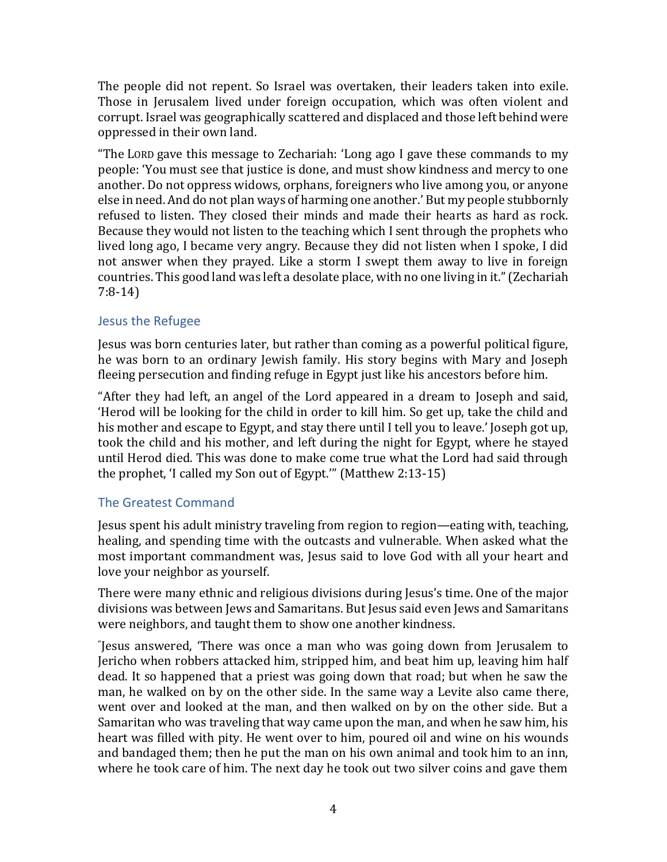The people did not repent. So Israel was overtaken, their leaders taken into exile. Those in Jerusalem lived under foreign occupation, which was often violent and corrupt. Israel was geographically scattered and displaced and those left behind were oppressed in their own land.

"The LORD gave this message to Zechariah: 'Long ago I gave these commands to my people: 'You must see that justice is done, and must show kindness and mercy to one another. Do not oppress widows, orphans, foreigners who live among you, or anyone else in need. And do not plan ways of harming one another.' But my people stubbornly refused to listen. They closed their minds and made their hearts as hard as rock. Because they would not listen to the teaching which I sent through the prophets who lived long ago, I became very angry. Because they did not listen when I spoke, I did not answer when they prayed. Like a storm I swept them away to live in foreign countries. This good land was left a desolate place, with no one living in it." (Zechariah 7:8-14)

## Jesus the Refugee

Jesus was born centuries later, but rather than coming as a powerful political figure, he was born to an ordinary Jewish family. His story begins with Mary and Joseph fleeing persecution and finding refuge in Egypt just like his ancestors before him.

"After they had left, an angel of the Lord appeared in a dream to Joseph and said, 'Herod will be looking for the child in order to kill him. So get up, take the child and his mother and escape to Egypt, and stay there until I tell you to leave.' Joseph got up, took the child and his mother, and left during the night for Egypt, where he stayed until Herod died. This was done to make come true what the Lord had said through the prophet, 'I called my Son out of Egypt.'" (Matthew 2:13-15)

# The Greatest Command

Jesus spent his adult ministry traveling from region to region—eating with, teaching, healing, and spending time with the outcasts and vulnerable. When asked what the most important commandment was, Jesus said to love God with all your heart and love your neighbor as yourself.

There were many ethnic and religious divisions during Jesus's time. One of the major divisions was between Jews and Samaritans. But Jesus said even Jews and Samaritans were neighbors, and taught them to show one another kindness.

" Jesus answered, 'There was once a man who was going down from Jerusalem to Jericho when robbers attacked him, stripped him, and beat him up, leaving him half dead. It so happened that a priest was going down that road; but when he saw the man, he walked on by on the other side. In the same way a Levite also came there, went over and looked at the man, and then walked on by on the other side. But a Samaritan who was traveling that way came upon the man, and when he saw him, his heart was filled with pity. He went over to him, poured oil and wine on his wounds and bandaged them; then he put the man on his own animal and took him to an inn, where he took care of him. The next day he took out two silver coins and gave them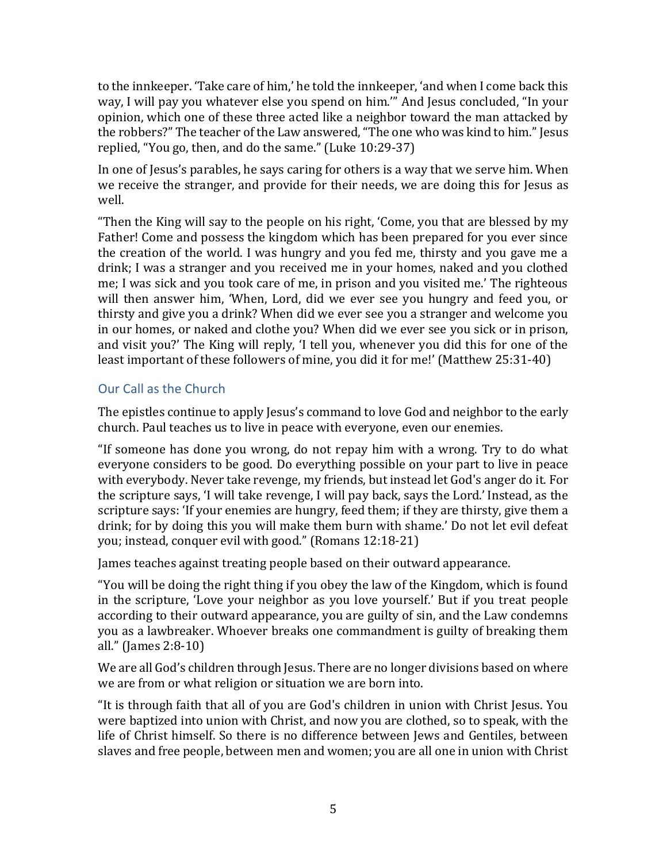to the innkeeper. 'Take care of him,' he told the innkeeper, 'and when I come back this way, I will pay you whatever else you spend on him.'" And Jesus concluded, "In your opinion, which one of these three acted like a neighbor toward the man attacked by the robbers?" The teacher of the Law answered, "The one who was kind to him." Jesus replied, "You go, then, and do the same." (Luke 10:29-37)

In one of Jesus's parables, he says caring for others is a way that we serve him. When we receive the stranger, and provide for their needs, we are doing this for Jesus as well.

"Then the King will say to the people on his right, 'Come, you that are blessed by my Father! Come and possess the kingdom which has been prepared for you ever since the creation of the world. I was hungry and you fed me, thirsty and you gave me a drink; I was a stranger and you received me in your homes, naked and you clothed me; I was sick and you took care of me, in prison and you visited me.' The righteous will then answer him, 'When, Lord, did we ever see you hungry and feed you, or thirsty and give you a drink? When did we ever see you a stranger and welcome you in our homes, or naked and clothe you? When did we ever see you sick or in prison, and visit you?' The King will reply, 'I tell you, whenever you did this for one of the least important of these followers of mine, you did it for me!' (Matthew 25:31-40)

# Our Call as the Church

The epistles continue to apply Jesus's command to love God and neighbor to the early church. Paul teaches us to live in peace with everyone, even our enemies.

"If someone has done you wrong, do not repay him with a wrong. Try to do what everyone considers to be good. Do everything possible on your part to live in peace with everybody. Never take revenge, my friends, but instead let God's anger do it. For the scripture says, 'I will take revenge, I will pay back, says the Lord.' Instead, as the scripture says: 'If your enemies are hungry, feed them; if they are thirsty, give them a drink; for by doing this you will make them burn with shame.' Do not let evil defeat you; instead, conquer evil with good." (Romans 12:18-21)

James teaches against treating people based on their outward appearance.

"You will be doing the right thing if you obey the law of the Kingdom, which is found in the scripture, 'Love your neighbor as you love yourself.' But if you treat people according to their outward appearance, you are guilty of sin, and the Law condemns you as a lawbreaker. Whoever breaks one commandment is guilty of breaking them all." (James 2:8-10)

We are all God's children through Jesus. There are no longer divisions based on where we are from or what religion or situation we are born into.

"It is through faith that all of you are God's children in union with Christ Jesus. You were baptized into union with Christ, and now you are clothed, so to speak, with the life of Christ himself. So there is no difference between Jews and Gentiles, between slaves and free people, between men and women; you are all one in union with Christ